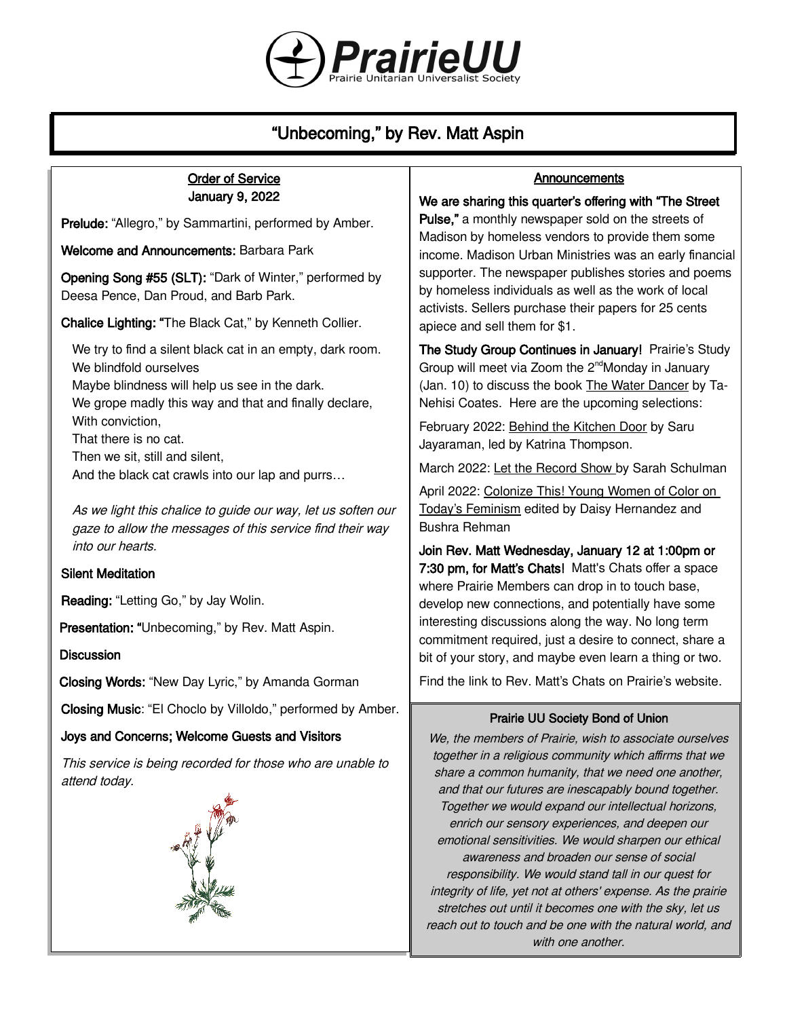

# "Unbecoming," by Rev. Matt Aspin

## Order of Service January 9, 2022

Prelude: "Allegro," by Sammartini, performed by Amber.

Welcome and Announcements: Barbara Park

Opening Song #55 (SLT): "Dark of Winter," performed by Deesa Pence, Dan Proud, and Barb Park.

Chalice Lighting: "The Black Cat," by Kenneth Collier.

We try to find a silent black cat in an empty, dark room. We blindfold ourselves Maybe blindness will help us see in the dark. We grope madly this way and that and finally declare, With conviction, That there is no cat. Then we sit, still and silent, And the black cat crawls into our lap and purrs…

As we light this chalice to guide our way, let us soften our gaze to allow the messages of this service find their way into our hearts.

# Silent Meditation

Reading: "Letting Go," by Jay Wolin.

Presentation: "Unbecoming," by Rev. Matt Aspin.

#### **Discussion**

Closing Words: "New Day Lyric," by Amanda Gorman

Closing Music: "El Choclo by Villoldo," performed by Amber.

# Joys and Concerns; Welcome Guests and Visitors

This service is being recorded for those who are unable to attend today.



#### **Announcements**

#### We are sharing this quarter's offering with "The Street

Pulse," a monthly newspaper sold on the streets of Madison by homeless vendors to provide them some income. Madison Urban Ministries was an early financial supporter. The newspaper publishes stories and poems by homeless individuals as well as the work of local activists. Sellers purchase their papers for 25 cents apiece and sell them for \$1.

The Study Group Continues in January! Prairie's Study Group will meet via Zoom the 2<sup>nd</sup>Monday in January (Jan. 10) to discuss the book The Water Dancer by Ta-Nehisi Coates. Here are the upcoming selections:

February 2022: Behind the Kitchen Door by Saru Jayaraman, led by Katrina Thompson.

March 2022: Let the Record Show by Sarah Schulman

April 2022: Colonize This! Young Women of Color on Today's Feminism edited by Daisy Hernandez and Bushra Rehman

Join Rev. Matt Wednesday, January 12 at 1:00pm or 7:30 pm, for Matt's Chats! Matt's Chats offer a space where Prairie Members can drop in to touch base, develop new connections, and potentially have some interesting discussions along the way. No long term commitment required, just a desire to connect, share a bit of your story, and maybe even learn a thing or two.

Find the link to Rev. Matt's Chats [on Prairie's website](https://uuprairie.org/).

#### Prairie UU Society Bond of Union

We, the members of Prairie, wish to associate ourselves together in a religious community which affirms that we share a common humanity, that we need one another, and that our futures are inescapably bound together. Together we would expand our intellectual horizons, enrich our sensory experiences, and deepen our emotional sensitivities. We would sharpen our ethical awareness and broaden our sense of social responsibility. We would stand tall in our quest for integrity of life, yet not at others' expense. As the prairie stretches out until it becomes one with the sky, let us reach out to touch and be one with the natural world, and with one another.